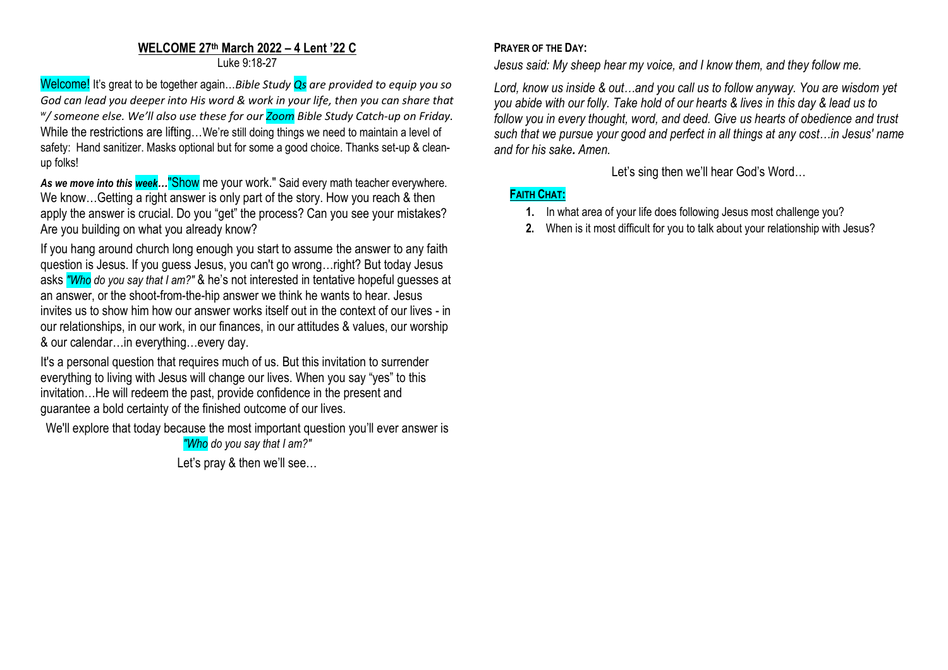## **WELCOME 27 th March 2022 – 4 Lent '22 C** Luke 9:18-27

Welcome! It's great to be together again…*Bible Study Qs are provided to equip you so God can lead you deeper into His word & work in your life, then you can share that w / someone else. We'll also use these for our Zoom Bible Study Catch-up on Friday.* While the restrictions are lifting...We're still doing things we need to maintain a level of safety: Hand sanitizer. Masks optional but for some a good choice. Thanks set-up & cleanup folks!

*As we move into this week…*"Show me your work." Said every math teacher everywhere. We know...Getting a right answer is only part of the story. How you reach & then apply the answer is crucial. Do you "get" the process? Can you see your mistakes? Are you building on what you already know?

If you hang around church long enough you start to assume the answer to any faith question is Jesus. If you guess Jesus, you can't go wrong…right? But today Jesus asks *"Who do you say that I am?"* & he's not interested in tentative hopeful guesses at an answer, or the shoot-from-the-hip answer we think he wants to hear. Jesus invites us to show him how our answer works itself out in the context of our lives - in our relationships, in our work, in our finances, in our attitudes & values, our worship & our calendar…in everything…every day.

It's a personal question that requires much of us. But this invitation to surrender everything to living with Jesus will change our lives. When you say "yes" to this invitation…He will redeem the past, provide confidence in the present and guarantee a bold certainty of the finished outcome of our lives.

We'll explore that today because the most important question you'll ever answer is

*"Who do you say that I am?"*

Let's pray & then we'll see…

## **PRAYER OF THE DAY:**

*Jesus said: My sheep hear my voice, and I know them, and they follow me.*

*Lord, know us inside & out…and you call us to follow anyway. You are wisdom yet you abide with our folly. Take hold of our hearts & lives in this day & lead us to follow you in every thought, word, and deed. Give us hearts of obedience and trust such that we pursue your good and perfect in all things at any cost…in Jesus' name and for his sake. Amen.*

Let's sing then we'll hear God's Word…

# **FAITH CHAT:**

- **1.** In what area of your life does following Jesus most challenge you?
- **2.** When is it most difficult for you to talk about your relationship with Jesus?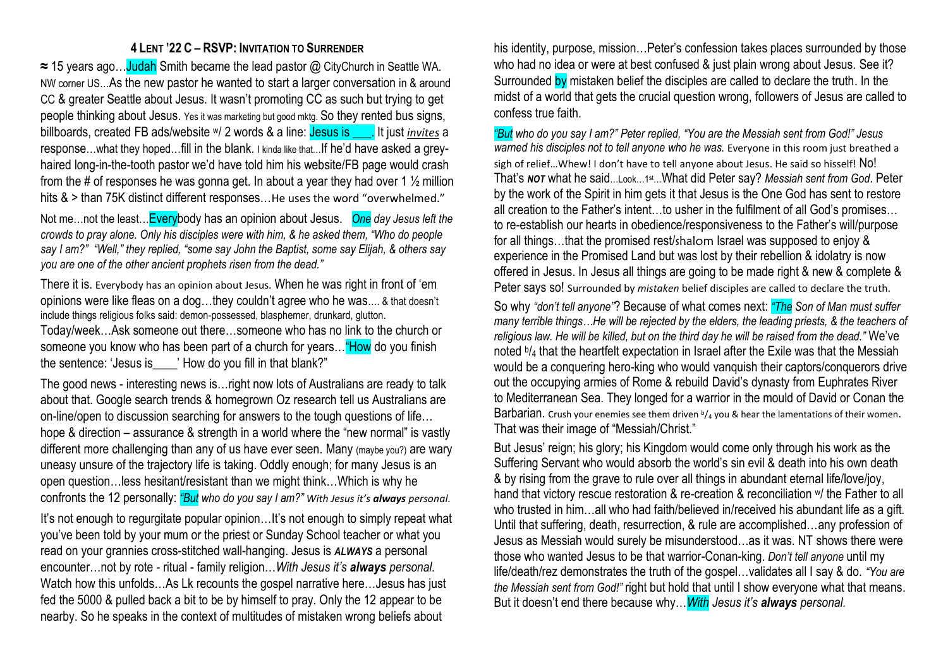### **4 LENT '22 C – RSVP: INVITATION TO SURRENDER**

**≈** 15 years ago…Judah Smith became the lead pastor @ CityChurch in Seattle WA. NW corner US…As the new pastor he wanted to start a larger conversation in & around CC & greater Seattle about Jesus. It wasn't promoting CC as such but trying to get people thinking about Jesus. Yes it was marketing but good mktg. So they rented bus signs, billboards, created FB ads/website w/ 2 words & a line: Jesus is \_\_\_. It just *invites* a response…what they hoped…fill in the blank. I kinda like that…If he'd have asked a greyhaired long-in-the-tooth pastor we'd have told him his website/FB page would crash from the # of responses he was gonna get. In about a year they had over 1  $\frac{1}{2}$  million hits & > than 75K distinct different responses...He uses the word "overwhelmed."

Not me…not the least…Everybody has an opinion about Jesus. *One day Jesus left the crowds to pray alone. Only his disciples were with him, & he asked them, "Who do people say I am?" "Well," they replied, "some say John the Baptist, some say Elijah, & others say you are one of the other ancient prophets risen from the dead."*

There it is. Everybody has an opinion about Jesus. When he was right in front of 'em opinions were like fleas on a dog…they couldn't agree who he was…. & that doesn't include things religious folks said: demon-possessed, blasphemer, drunkard, glutton.

Today/week…Ask someone out there…someone who has no link to the church or someone you know who has been part of a church for years... "How do you finish the sentence: 'Jesus is Thow do you fill in that blank?"

The good news - interesting news is…right now lots of Australians are ready to talk about that. Google search trends & homegrown Oz research tell us Australians are on-line/open to discussion searching for answers to the tough questions of life… hope & direction – assurance & strength in a world where the "new normal" is vastly different more challenging than any of us have ever seen. Many (maybe you?) are wary uneasy unsure of the trajectory life is taking. Oddly enough; for many Jesus is an open question…less hesitant/resistant than we might think…Which is why he confronts the 12 personally: *"But who do you say I am?" With Jesus it's always personal.*

It's not enough to regurgitate popular opinion...It's not enough to simply repeat what you've been told by your mum or the priest or Sunday School teacher or what you read on your grannies cross-stitched wall-hanging. Jesus is *ALWAYS* a personal encounter…not by rote - ritual - family religion…*With Jesus it's always personal.* Watch how this unfolds...As Lk recounts the gospel narrative here... Jesus has just fed the 5000 & pulled back a bit to be by himself to pray. Only the 12 appear to be nearby. So he speaks in the context of multitudes of mistaken wrong beliefs about

his identity, purpose, mission…Peter's confession takes places surrounded by those who had no idea or were at best confused & just plain wrong about Jesus. See it? Surrounded by mistaken belief the disciples are called to declare the truth. In the midst of a world that gets the crucial question wrong, followers of Jesus are called to confess true faith.

*"But who do you say I am?" Peter replied, "You are the Messiah sent from God!" Jesus warned his disciples not to tell anyone who he was.* Everyone in this room just breathed a sigh of relief... Whew! I don't have to tell anyone about Jesus. He said so hisself! No! That's *NOT* what he said…Look…1st…What did Peter say? *Messiah sent from God*. Peter by the work of the Spirit in him gets it that Jesus is the One God has sent to restore all creation to the Father's intent…to usher in the fulfilment of all God's promises… to re-establish our hearts in obedience/responsiveness to the Father's will/purpose for all things…that the promised rest/shalom Israel was supposed to enjoy & experience in the Promised Land but was lost by their rebellion & idolatry is now offered in Jesus. In Jesus all things are going to be made right & new & complete & Peter says so! Surrounded by *mistaken* belief disciples are called to declare the truth.

So why *"don't tell anyone"*? Because of what comes next: *"The Son of Man must suffer many terrible things…He will be rejected by the elders, the leading priests, & the teachers of religious law. He will be killed, but on the third day he will be raised from the dead."* We've noted b/<sub>4</sub> that the heartfelt expectation in Israel after the Exile was that the Messiah would be a conquering hero-king who would vanquish their captors/conquerors drive out the occupying armies of Rome & rebuild David's dynasty from Euphrates River to Mediterranean Sea. They longed for a warrior in the mould of David or Conan the Barbarian. Crush your enemies see them driven  $b/a$  you & hear the lamentations of their women. That was their image of "Messiah/Christ."

But Jesus' reign; his glory; his Kingdom would come only through his work as the Suffering Servant who would absorb the world's sin evil & death into his own death & by rising from the grave to rule over all things in abundant eternal life/love/joy, hand that victory rescue restoration & re-creation & reconciliation W the Father to all who trusted in him…all who had faith/believed in/received his abundant life as a gift. Until that suffering, death, resurrection, & rule are accomplished…any profession of Jesus as Messiah would surely be misunderstood…as it was. NT shows there were those who wanted Jesus to be that warrior-Conan-king. *Don't tell anyone* until my life/death/rez demonstrates the truth of the gospel…validates all I say & do. *"You are the Messiah sent from God!"* right but hold that until I show everyone what that means. But it doesn't end there because why…*With Jesus it's always personal.*